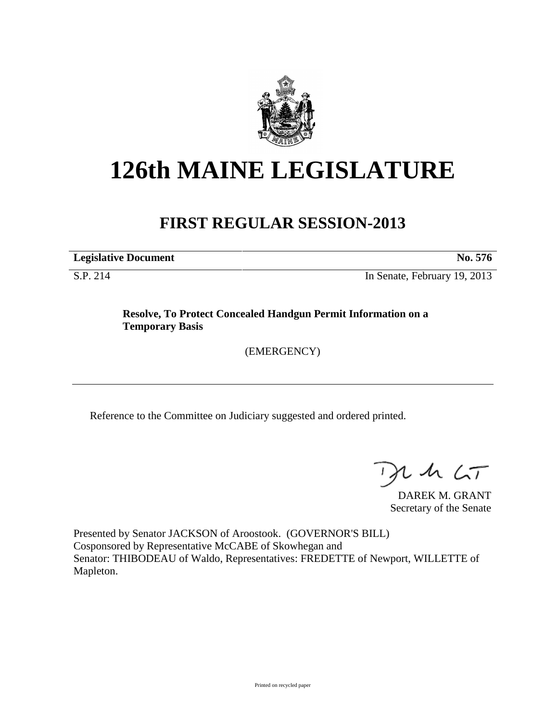

## **126th MAINE LEGISLATURE**

## **FIRST REGULAR SESSION-2013**

**Legislative Document No. 576**

S.P. 214 In Senate, February 19, 2013

**Resolve, To Protect Concealed Handgun Permit Information on a Temporary Basis**

(EMERGENCY)

Reference to the Committee on Judiciary suggested and ordered printed.

 $2.42 < T$ 

DAREK M. GRANT Secretary of the Senate

Presented by Senator JACKSON of Aroostook. (GOVERNOR'S BILL) Cosponsored by Representative McCABE of Skowhegan and Senator: THIBODEAU of Waldo, Representatives: FREDETTE of Newport, WILLETTE of Mapleton.